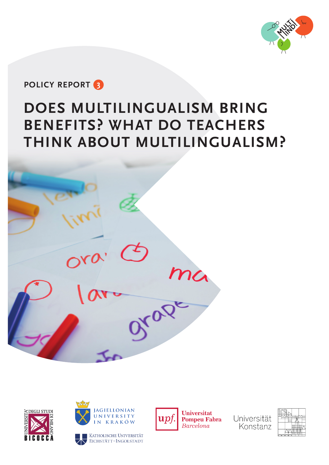

# **POLICY REPORT 3**

# **DOES MULTILINGUALISM BRING BENEFITS? WHAT DO TEACHERS THINK ABOUT MULTILINGUALISM?**







EICHSTÄTT-INGOLSTADT



**Universitat Pompeu Fabra** Barcelona

Universität Konstanz

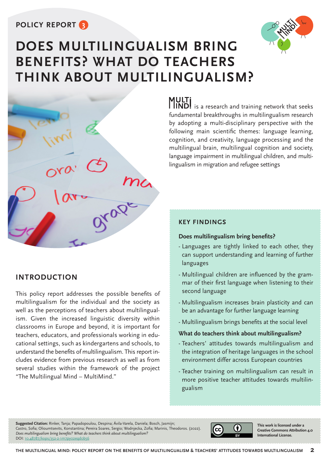### **POLICY REPORT 3**





### **INTRODUCTION**

This policy report addresses the possible benefits of multilingualism for the individual and the society as well as the perceptions of teachers about multilingualism. Given the increased linguistic diversity within classrooms in Europe and beyond, it is important for teachers, educators, and professionals working in educational settings, such as kindergartens and schools, to understand the benefits of multilingualism. This report includes evidence from previous research as well as from several studies within the framework of the project "The Multilingual Mind – MultiMind."

**MULTi**<br>**IIND!** is a research and training network that seeks fundamental breakthroughs in multilingualism research by adopting a multi-disciplinary perspective with the following main scientific themes: language learning, cognition, and creativity, language processing and the multilingual brain, multilingual cognition and society, language impairment in multilingual children, and multilingualism in migration and refugee settings

### **KEY FINDINGS**

### **Does multilingualism bring benefits?**

- Languages are tightly linked to each other, they can support understanding and learning of further languages
- Multilingual children are influenced by the grammar of their first language when listening to their second language
- Multilingualism increases brain plasticity and can be an advantage for further language learning
- Multilingualism brings benefits at the social level

### **What do teachers think about multilingualism?**

- Teachers' attitudes towards multilingualism and the integration of heritage languages in the school environment differ across European countries
- Teacher training on multilingualism can result in more positive teacher attitudes towards multilingualism

**Suggested Citation:** Rinker, Tanja; Papadopoulou, Despina; Ávila-Varela, Daniela; Bosch, Jasmijn; Castro, Sofia; Olioumtsevits, Konstantina; Pereira Soares, Sergio; Wodniecka, Zofia; Marinis, Theodoros. (2022). *Does multilingualism bring benefits? What do teachers think about multilingualism?* DOI: [10.48787/kops/352-2-1m7py02eqd0b56](https://kops.uni-konstanz.de/handle/123456789/57766)



**This work is licensed under a Creative Commons Attribution 4.0 International License.**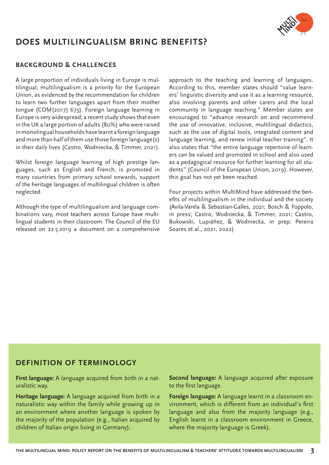

# **DOES MULTILINGUALISM BRING BENEFITS?**

### **BACKGROUND & CHALLENGES**

A large proportion of individuals living in Europe is multilingual; multilingualism is a priority for the European Union, as evidenced by the recommendation for children to learn two further languages apart from their mother tongue (COM(2017) 673). Foreign language learning in Europe is very widespread; a recent study shows that even in the UK a large portion of adults (80%) who were raised in monolingual households have learnt a foreign language and more than half of them use those foreign language(s) in their daily lives (Castro, Wodniecka, & Timmer, 2021).

Whilst foreign language learning of high prestige languages, such as English and French, is promoted in many countries from primary school onwards, support of the heritage languages of multilingual children is often neglected.

Although the type of multilingualism and language combinations vary, most teachers across Europe have multilingual students in their classroom. The Council of the EU released on 22.5.2019 a document on a comprehensive

approach to the teaching and learning of languages. According to this, member states should "value learners' linguistic diversity and use it as a learning resource, also involving parents and other carers and the local community in language teaching." Member states are encouraged to "advance research on and recommend the use of innovative, inclusive, multilingual didactics, such as the use of digital tools, integrated content and language learning, and renew initial teacher training". It also states that "the entire language repertoire of learners can be valued and promoted in school and also used as a pedagogical resource for further learning for all students" (Council of the European Union, 2019). However, this goal has not yet been reached.

Four projects within MultiMind have addressed the benefits of multilingualism in the individual and the society (Avila-Varela & Sebastian-Galles, 2021; Bosch & Foppolo, in press; Castro, Wodniecka, & Timmer, 2021; Castro, Bukowski, Lupiáñez, & Wodniecka, in prep; Pereira Soares et al., 2021, 2022).

### **DEFINITION OF TERMINOLOGY**

**First language:** A language acquired from birth in a naturalistic way.

**Heritage language:** A language acquired from birth in a naturalistic way within the family while growing up in an environment where another language is spoken by the majority of the population (e.g., Italian acquired by children of Italian origin living in Germany).

**Second language:** A language acquired after exposure to the first language.

**Foreign language:** A language learnt in a classroom environment, which is different from an individual's first language and also from the majority language (e.g., English learnt in a classroom environment in Greece, where the majority language is Greek).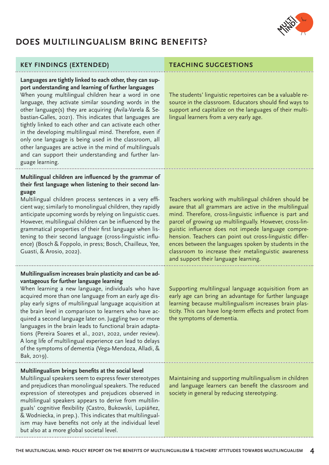

# **DOES MULTILINGUALISM BRING BENEFITS?**

### **KEY FINDINGS (EXTENDED) TEACHING SUGGESTIONS**

### **Languages are tightly linked to each other, they can support understanding and learning of further languages**

When young multilingual children hear a word in one language, they activate similar sounding words in the other language(s) they are acquiring (Avila-Varela & Sebastian-Galles, 2021). This indicates that languages are tightly linked to each other and can activate each other in the developing multilingual mind. Therefore, even if only one language is being used in the classroom, all other languages are active in the mind of multilinguals and can support their understanding and further language learning.

### **Multilingual children are influenced by the grammar of their first language when listening to their second language**

Multilingual children process sentences in a very efficient way; similarly to monolingual children, they rapidly anticipate upcoming words by relying on linguistic cues. However, multilingual children can be influenced by the grammatical properties of their first language when listening to their second language (cross-linguistic influence) (Bosch & Foppolo, in press; Bosch, Chailleux, Yee, Guasti, & Arosio, 2022).

### **Multilingualism increases brain plasticity and can be advantageous for further language learning**

When learning a new language, individuals who have acquired more than one language from an early age display early signs of multilingual language acquisition at the brain level in comparison to learners who have acquired a second language later on. Juggling two or more languages in the brain leads to functional brain adaptations (Pereira Soares et al., 2021, 2022, under review). A long life of multilingual experience can lead to delays of the symptoms of dementia (Vega-Mendoza, Alladi, & Bak, 2019).

### **Multilingualism brings benefits at the social level**

Multilingual speakers seem to express fewer stereotypes and prejudices than monolingual speakers. The reduced expression of stereotypes and prejudices observed in multilingual speakers appears to derive from multilinguals' cognitive flexibility (Castro, Bukowski, Lupiáñez, & Wodniecka, in prep.). This indicates that multilingualism may have benefits not only at the individual level but also at a more global societal level.

The students' linguistic repertoires can be a valuable resource in the classroom. Educators should find ways to support and capitalize on the languages of their multilingual learners from a very early age.

Teachers working with multilingual children should be aware that all grammars are active in the multilingual mind. Therefore, cross-linguistic influence is part and parcel of growing up multilingually. However, cross-linguistic influence does not impede language comprehension. Teachers can point out cross-linguistic differences between the languages spoken by students in the classroom to increase their metalinguistic awareness and support their language learning.

Supporting multilingual language acquisition from an early age can bring an advantage for further language learning because multilingualism increases brain plasticity. This can have long-term effects and protect from the symptoms of dementia.

Maintaining and supporting multilingualism in children and language learners can benefit the classroom and society in general by reducing stereotyping.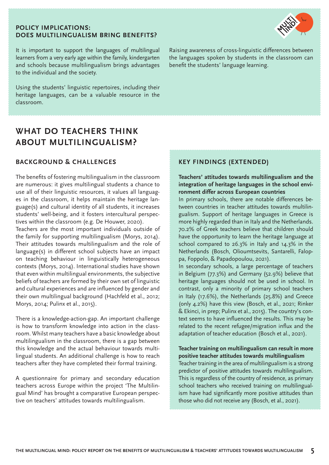### **POLICY IMPLICATIONS: DOES MULTILINGUALISM BRING BENEFITS?**



It is important to support the languages of multilingual learners from a very early age within the family, kindergarten and schools because multilingualism brings advantages to the individual and the society.

Using the students' linguistic repertoires, including their heritage languages, can be a valuable resource in the classroom.

## **WHAT DO TEACHERS THINK ABOUT MULTILINGUALISM?**

### **BACKGROUND & CHALLENGES**

The benefits of fostering multilingualism in the classroom are numerous: it gives multilingual students a chance to use all of their linguistic resources, it values all languages in the classroom, it helps maintain the heritage language(s) and cultural identity of all students, it increases students' well-being, and it fosters intercultural perspectives within the classroom (e.g. De Houwer, 2020).

Teachers are the most important individuals outside of the family for supporting multilingualism (Morys, 2014). Their attitudes towards multilingualism and the role of language(s) in different school subjects have an impact on teaching behaviour in linguistically heterogeneous contexts (Morys, 2014). International studies have shown that even within multilingual environments, the subjective beliefs of teachers are formed by their own set of linguistic and cultural experiences and are influenced by gender and their own multilingual background (Hachfeld et al., 2012; Morys, 2014; Pulinx et al., 2015).

There is a knowledge-action-gap. An important challenge is how to transform knowledge into action in the classroom. Whilst many teachers have a basic knowledge about multilingualism in the classroom, there is a gap between this knowledge and the actual behaviour towards multilingual students. An additional challenge is how to reach teachers after they have completed their formal training.

A questionnaire for primary and secondary education teachers across Europe within the project 'The Multilingual Mind' has brought a comparative European perspective on teachers' attitudes towards multilingualism.

Raising awareness of cross-linguistic differences between the languages spoken by students in the classroom can benefit the students' language learning.

### **KEY FINDINGS (EXTENDED)**

### **Teachers' attitudes towards multilingualism and the integration of heritage languages in the school environment differ across European countries**

In primary schools, there are notable differences between countries in teacher attitudes towards multilingualism. Support of heritage languages in Greece is more highly regarded than in Italy and the Netherlands. 70.2% of Greek teachers believe that children should have the opportunity to learn the heritage language at school compared to 26.3% in Italy and 14.3% in the Netherlands (Bosch, Olioumtsevits, Santarelli, Faloppa, Foppolo, & Papadopoulou, 2021).

In secondary schools, a large percentage of teachers in Belgium (77.3%) and Germany (52.9%) believe that heritage languages should not be used in school. In contrast, only a minority of primary school teachers in Italy (17.6%), the Netherlands (25.8%) and Greece (only 4.2%) have this view (Bosch, et al., 2021; Rinker & Ekinci, in prep; Pulinx et al., 2015). The country's context seems to have influenced the results. This may be related to the recent refugee/migration influx and the adaptation of teacher education (Bosch et al., 2021).

### **Teacher training on multilingualism can result in more positive teacher attitudes towards multilingualism**

Teacher training in the area of multilingualism is a strong predictor of positive attitudes towards multilingualism. This is regardless of the country of residence, as primary school teachers who received training on multilingualism have had significantly more positive attitudes than those who did not receive any (Bosch, et al., 2021).